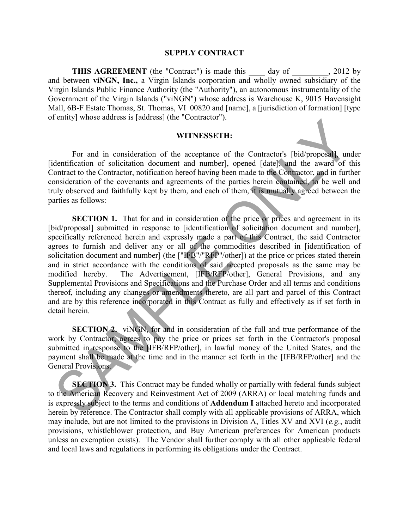## **SUPPLY CONTRACT**

**THIS AGREEMENT** (the "Contract") is made this day of 3012 by and between **viNGN, Inc.,** a Virgin Islands corporation and wholly owned subsidiary of the Virgin Islands Public Finance Authority (the "Authority"), an autonomous instrumentality of the Government of the Virgin Islands ("viNGN") whose address is Warehouse K, 9015 Havensight Mall, 6B-F Estate Thomas, St. Thomas, VI 00820 and [name], a [jurisdiction of formation] [type of entity] whose address is [address] (the "Contractor").

## **WITNESSETH:**

For and in consideration of the acceptance of the Contractor's [bid/proposal], under [identification of solicitation document and number], opened [date], and the award of this Contract to the Contractor, notification hereof having been made to the Contractor, and in further consideration of the covenants and agreements of the parties herein contained, to be well and truly observed and faithfully kept by them, and each of them, it is mutually agreed between the parties as follows:

**SECTION 1.** That for and in consideration of the price or prices and agreement in its [bid/proposal] submitted in response to [identification of solicitation document and number], specifically referenced herein and expressly made a part of this Contract, the said Contractor agrees to furnish and deliver any or all of the commodities described in [identification of solicitation document and number] (the ["IFB"/"RFP"/other]) at the price or prices stated therein and in strict accordance with the conditions of said accepted proposals as the same may be modified hereby. The Advertisement, [IFB/RFP/other], General Provisions, and any Supplemental Provisions and Specifications and the Purchase Order and all terms and conditions thereof, including any changes or amendments thereto, are all part and parcel of this Contract and are by this reference incorporated in this Contract as fully and effectively as if set forth in detail herein.

**SECTION 2.** viNGN, for and in consideration of the full and true performance of the work by Contractor, agrees to pay the price or prices set forth in the Contractor's proposal submitted in response to the [IFB/RFP/other], in lawful money of the United States, and the payment shall be made at the time and in the manner set forth in the [IFB/RFP/other] and the General Provisions.

**SECTION 3.** This Contract may be funded wholly or partially with federal funds subject to the American Recovery and Reinvestment Act of 2009 (ARRA) or local matching funds and is expressly subject to the terms and conditions of **Addendum I** attached hereto and incorporated herein by reference. The Contractor shall comply with all applicable provisions of ARRA, which may include, but are not limited to the provisions in Division A, Titles XV and XVI (*e.g.*, audit provisions, whistleblower protection, and Buy American preferences for American products unless an exemption exists). The Vendor shall further comply with all other applicable federal and local laws and regulations in performing its obligations under the Contract.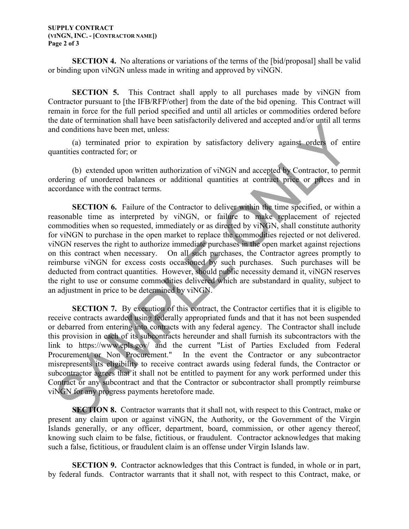## **SUPPLY CONTRACT (VINGN, INC. - [CONTRACTOR NAME]) Page 2 of 3**

**SECTION 4.** No alterations or variations of the terms of the [bid/proposal] shall be valid or binding upon viNGN unless made in writing and approved by viNGN.

**SECTION 5.** This Contract shall apply to all purchases made by viNGN from Contractor pursuant to [the IFB/RFP/other] from the date of the bid opening. This Contract will remain in force for the full period specified and until all articles or commodities ordered before the date of termination shall have been satisfactorily delivered and accepted and/or until all terms and conditions have been met, unless:

(a) terminated prior to expiration by satisfactory delivery against orders of entire quantities contracted for; or

(b) extended upon written authorization of viNGN and accepted by Contractor, to permit ordering of unordered balances or additional quantities at contract price or prices and in accordance with the contract terms.

**SECTION 6.** Failure of the Contractor to deliver within the time specified, or within a reasonable time as interpreted by viNGN, or failure to make replacement of rejected commodities when so requested, immediately or as directed by viNGN, shall constitute authority for viNGN to purchase in the open market to replace the commodities rejected or not delivered. viNGN reserves the right to authorize immediate purchases in the open market against rejections on this contract when necessary. On all such purchases, the Contractor agrees promptly to reimburse viNGN for excess costs occasioned by such purchases. Such purchases will be deducted from contract quantities. However, should public necessity demand it, viNGN reserves the right to use or consume commodities delivered which are substandard in quality, subject to an adjustment in price to be determined by viNGN.

**SECTION 7.** By execution of this contract, the Contractor certifies that it is eligible to receive contracts awarded using federally appropriated funds and that it has not been suspended or debarred from entering into contracts with any federal agency. The Contractor shall include this provision in each of its subcontracts hereunder and shall furnish its subcontractors with the link to https://www.epls.gov/ and the current "List of Parties Excluded from Federal Procurement or Non Procurement." In the event the Contractor or any subcontractor misrepresents its eligibility to receive contract awards using federal funds, the Contractor or subcontractor agrees that it shall not be entitled to payment for any work performed under this Contract or any subcontract and that the Contractor or subcontractor shall promptly reimburse viNGN for any progress payments heretofore made.

**SECTION 8.** Contractor warrants that it shall not, with respect to this Contract, make or present any claim upon or against viNGN, the Authority, or the Government of the Virgin Islands generally, or any officer, department, board, commission, or other agency thereof, knowing such claim to be false, fictitious, or fraudulent. Contractor acknowledges that making such a false, fictitious, or fraudulent claim is an offense under Virgin Islands law.

**SECTION 9.** Contractor acknowledges that this Contract is funded, in whole or in part, by federal funds. Contractor warrants that it shall not, with respect to this Contract, make, or